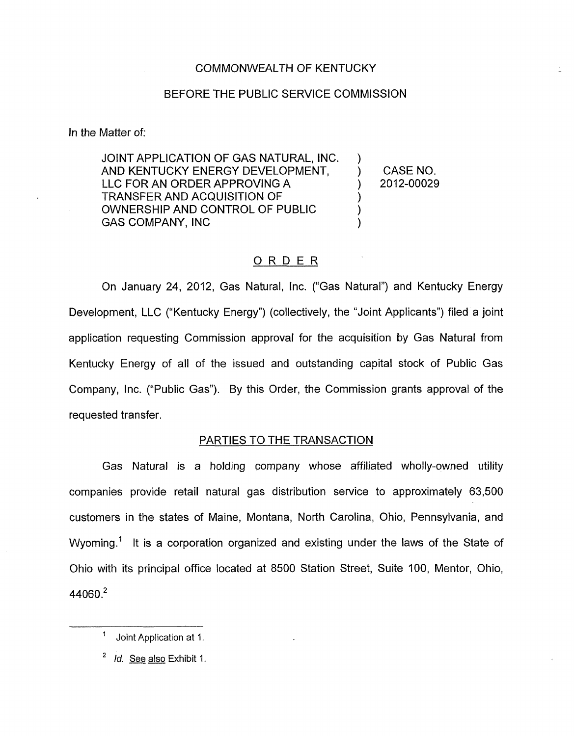## BEFORE THE PUBLIC SERVICE COMMISSION

In the Matter of:

JOINT APPLICATION OF GAS NATURAL, INC. AND KENTUCKY ENERGY DEVELOPMENT,  $\qquad$  ) CASE NO. LLC FOR AN ORDER APPROVING A  $(2012-00029)$ TRANSFER AND ACQUISITION OF ) OWNERSHIP AND CONTROL OF PUBLIC ) GAS COMPANY, INC

### ORDER

On January 24, 2012, Gas Natural, Inc. ("Gas Natural") and Kentucky Energy Development, LLC ("Kentucky Energy") (collectively, the "Joint Applicants") filed a joint application requesting Commission approval for the acquisition by Gas Natural from Kentucky Energy of all of the issued and outstanding capital stock of Public Gas Company, Inc. ("Public Gas"). By this Order, the Commission grants approval of the requested transfer.

#### PARTIES TO THE TRANSACTION

Gas Natural is a holding company whose affiliated wholly-owned utility companies provide retail natural gas distribution service to approximately 63,500 customers in the states of Maine, Montana, North Carolina, Ohio, Pennsylvania, and Wyoming.<sup>1</sup> It is a corporation organized and existing under the laws of the State of Ohio with its principal office located at 8500 Station Street, Suite 100, Mentor, Ohio, 44060.<sup>2</sup>

<sup>&</sup>lt;sup>1</sup> Joint Application at 1.

<sup>&</sup>lt;sup>2</sup> *Id.* See also Exhibit 1.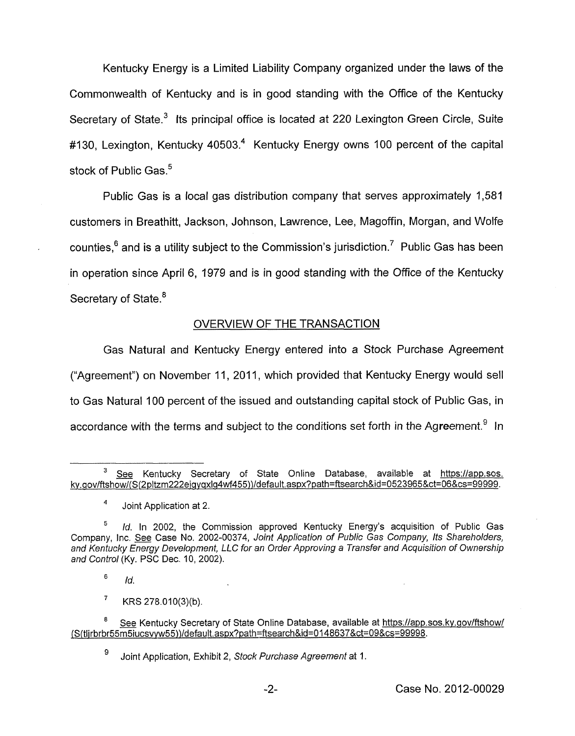Kentucky Energy is a Limited Liability Company organized under the laws of the Commonwealth of Kentucky and is in good standing with the Office of the Kentucky Secretary of State.<sup>3</sup> Its principal office is located at 220 Lexington Green Circle, Suite #130, Lexington, Kentucky 40503.<sup>4</sup> Kentucky Energy owns 100 percent of the capital stock of Public Gas.<sup>5</sup>

Public Gas is a local gas distribution company that serves approximately 1,581 customers in Breathitt, Jackson, Johnson, Lawrence, Lee, Magoffin, Morgan, and Wolfe counties, $<sup>6</sup>$  and is a utility subject to the Commission's jurisdiction.<sup>7</sup> Public Gas has been</sup> in operation since April 6, 1979 and is in good standing with the Office *of* the Kentucky Secretary of State.<sup>8</sup>

# OVERVIEW OF THE TRANSACTION

Gas Natural and Kentucky Energy entered into a Stock Purchase Agreement ("Agreement") on November 11, 2011, which provided that Kentucky Energy would sell to Gas Natural 100 percent of the issued and outstanding capital stock of Public Gas, in accordance with the terms and subject to the conditions set forth in the Agreement.<sup>9</sup> In

6 *Id.* 

 $\overline{7}$ KRS 278.010(3)(b).

See Kentucky Secretary of State Online Database, available at [https://app.sos.](https://app.sos) ky.gov/ftshow/(S(2pltzm222eigyqxlg4wf455))/default.aspx?path=ftsearch&id=0523965&ct=06&cs=99999. **3** 

Joint Application at 2. *4* 

*Id.* In 2002, the Commission approved Kentucky Energy's acquisition of Public Gas Company, Inc. *See* Case No. 2002-00374, *Joint Applicafion of Public Gas Company, Its Shareholders, and Kentucky Energy Development, LLC for an Order Approving a Transfer and Acquisition of Ownership and Control* (Ky. PSC Dec. IO, 2002).

See Kentucky Secretary of State Online Database, available at https://app.sos.ky.gov/ftshow/ **~S(tlirbrbr55~ucsv~55)}/default.as~x?path=ftsearch&id=Ol48637&ct=09&cs=99998.** 

<sup>9</sup> Joint Application, Exhibit 2, *Stock Purchase Agreemenf* at 1.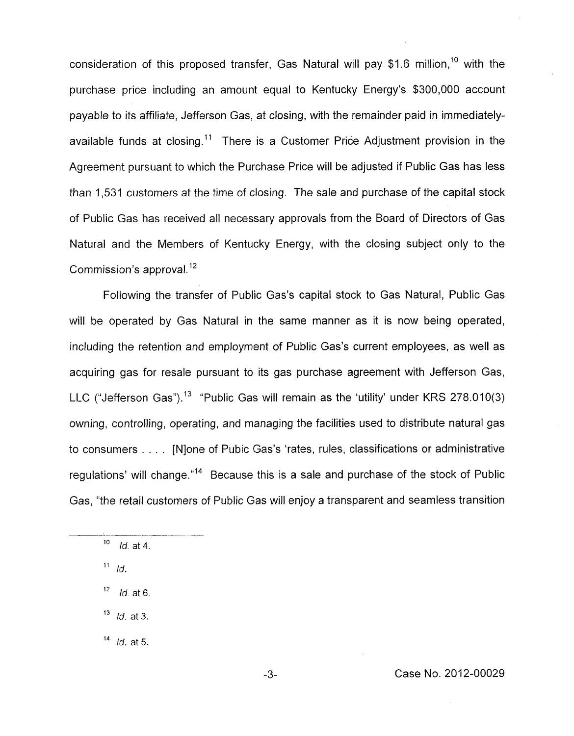consideration of this proposed transfer, Gas Natural will pay \$1.6 million,<sup>10</sup> with the purchase price including an amount equal to Kentucky Energy's \$300,000 account payable to its affiliate, Jefferson Gas, at closing, with the remainder paid in immediatelyavailable funds at closing.<sup>11</sup> There is a Customer Price Adjustment provision in the Agreement pursuant to which the Purchase Price will be adjusted if Public Gas has less than 1,531 customers at the time of closing. The sale and purchase of the capital stock of Public Gas has received all necessary approvals from the Board of Directors of Gas Natural and the Members of Kentucky Energy, with the closing subject only to the Commission's approval.<sup>12</sup>

Following the transfer of Public Gas's capital stock to Gas Natural, Public Gas will be operated by Gas Natural in the same manner as it is now being operated, including the retention and employment of Public Gas's current employees, as well as acquiring gas for resale pursuant to its gas purchase agreement with Jefferson Gas, LLC ("Jefferson Gas").<sup>13</sup> "Public Gas will remain as the 'utility' under KRS 278.010(3) owning, controlling, operating, and managing the facilities used to distribute natural gas to consumers . . . . [Nlone of Pubic Gas's 'rates, rules, classifications or administrative regulations' will change."14 Because this is a sale and purchase of the stock of Public Gas, "the retail customers of Public Gas will enjoy a transparent and seamless transition

<sup>11</sup> Id.

*Id.* at 6. 12

*Id.* at *3.*  **13** 

*Id.* at *5.*  14

*Id.* at 4. 10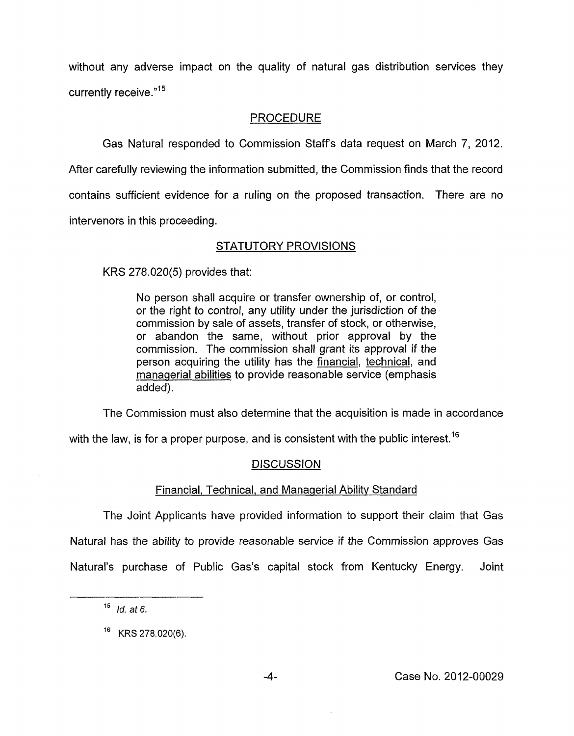without any adverse impact on the quality of natural gas distribution services they currently receive **."I5** 

## PROCEDURE

Gas Natural responded to Commission Staffs data request on March *7,* 2012.

After carefully reviewing the information submitted, the Commission finds that the record contains sufficient evidence for a ruling on the proposed transaction. There are no intervenors in this proceeding.

# STATUTORY PROVISIONS

KRS 278.020(5) provides that:

No person shall acquire or transfer ownership of, or control, or the right to control, any utility under the jurisdiction *of* the commission by sale of assets, transfer of stock, or otherwise, or abandon the same, without prior approval by the commission. The commission shall grant its approval if the person acquiring the utility has the financial, technical, and managerial abilities to provide reasonable service (emphasis added).

The Commission must also determine that the acquisition is made in accordance

with the law, is for a proper purpose, and is consistent with the public interest.<sup>16</sup>

## DISCUSSION

#### Financial, Technical, and Managerial Abilitv Standard

The Joint Applicants have provided information to support their claim that Gas Natural has the ability to provide reasonable service if the Commission approves Gas Natural's purchase of Public Gas's capital stock from Kentucky Energy. Joint

*Id. at 6.* **<sup>15</sup>**

*l6* KRS 278.020(6).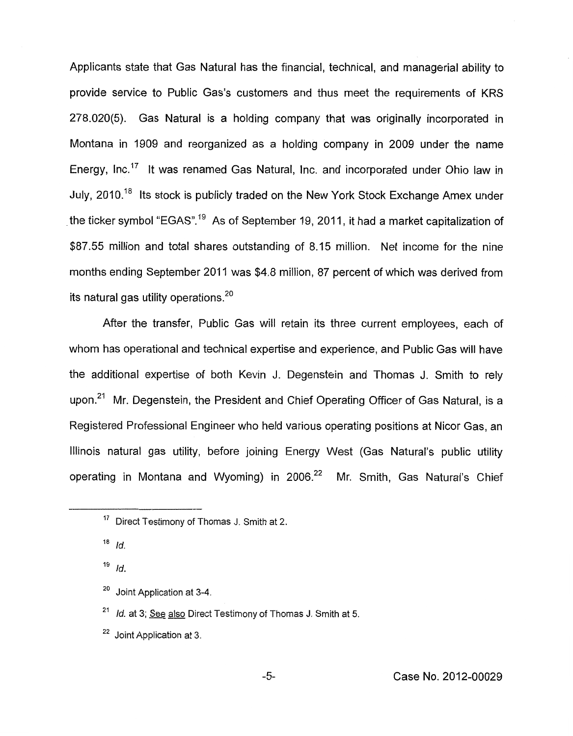Applicants state that Gas Natural has the financial, technical, and managerial ability to provide service to Public Gas's customers and thus meet the requirements of KRS **278.020(5).** Gas Natural is a holding company that was originally incorporated in Montana in **1909** and reorganized as a holding company in **2009** under the name Energy, Inc.<sup>17</sup> It was renamed Gas Natural, Inc. and incorporated under Ohio law in July, **2010.18** Its stock is publicly traded on the New York Stock Exchange Amex under the ticker symbol "EGAS"." As of September **19,** 201 **I** , it had a market capitalization of **\$87.55** million and total shares outstanding of **8.15** million. Net income for the nine months ending September **201 1** was **\$4.8** million, **87** percent of which was derived from its natural gas utility operations.<sup>20</sup>

After the transfer, Public Gas will retain its three current employees, each of whom has operational and technical expertise and experience, and Public Gas will have the additional expertise of both Kevin J. Degenstein and Thomas J. Smith to rely upon.<sup>21</sup> Mr. Degenstein, the President and Chief Operating Officer of Gas Natural, is a Registered Professional Engineer who held various operating positions at Nicor Gas, an Illinois natural gas utility, before joining Energy West (Gas Natural's public utility operating in Montana and Wyoming) in **2006.22** Mr. Smith, Gas Natural's Chief

<sup>22</sup> Joint Application at 3.

<sup>&</sup>lt;sup>17</sup> Direct Testimony of Thomas J. Smith at 2.

 $18$  *Id.* 

*Id.*  19

Joint Application at 3-4. **20** 

<sup>&</sup>lt;sup>21</sup> *Id.* at 3; See also Direct Testimony of Thomas J. Smith at 5.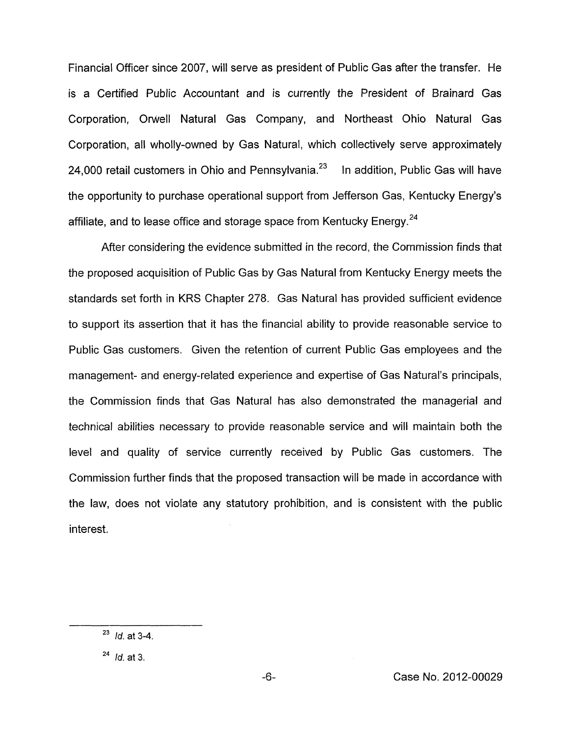Financial Officer since 2007, will serve as president of Public Gas after the transfer. He is a Certified Public Accountant and is currently the President of Brainard Gas Corporation, Orwell Natural Gas Company, and Northeast Ohio Natural Gas Corporation, all wholly-owned by Gas Natural, which collectively serve approximately 24,000 retail customers in Ohio and Pennsylvania. $^{23}$  In addition, Public Gas will have the opportunity to purchase operational support from Jefferson Gas, Kentucky Energy's affiliate, and to lease office and storage space from Kentucky Energy.<sup>24</sup>

After considering the evidence submitted in the record, the Commission finds that the proposed acquisition of Public Gas by Gas Natural from Kentucky Energy meets the standards set forth in KRS Chapter 278. Gas Natural has provided sufficient evidence to support its assertion that it has the financial ability to provide reasonable service to Public Gas customers. Given the retention of current Public Gas employees and the management- and energy-related experience and expertise of Gas Natural's principals, the Commission finds that Gas Natural has also demonstrated the managerial and technical abilities necessary to provide reasonable service and will maintain both the level and quality of service currently received by Public Gas customers. The Commission further finds that the proposed transaction will be made in accordance with the law, does not violate any statutory prohibition, and is consistent with the public interest.

<sup>&</sup>lt;sup>23</sup> *Id.* at 3-4.

**<sup>24</sup>***Id.* at 3.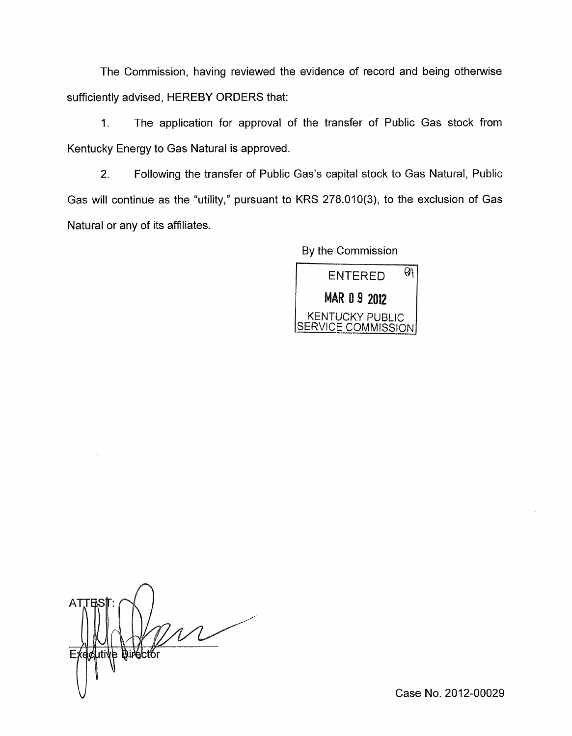The Commission, having reviewed the evidence of record and being otherwise sufficiently advised, HEREBY ORDERS that:

1. The application for approval of the transfer of Public Gas stock from Kentucky Energy to Gas Natural is approved.

2. Following the transfer of Public Gas's capital stock to Gas Natural, Public Gas will continue as the "utility," pursuant to KRS 278.010(3), to the exclusion of Gas Natural or any of its affiliates.

By the Commission

 $ENTERED$   $91$ **MAR 0 9 2012** | KENTUCKY PUBLIC SERVICE COMMISSIONI

**ATTES** ive Director

Case No. 2012-00029